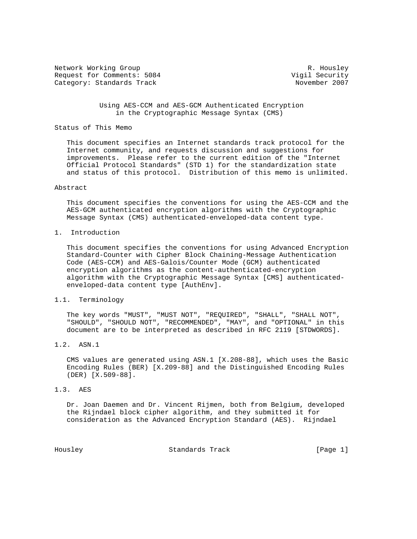Network Working Group and Months and Months and Months R. Housley Request for Comments: 5084 Vigil Security Category: Standards Track

### Using AES-CCM and AES-GCM Authenticated Encryption in the Cryptographic Message Syntax (CMS)

### Status of This Memo

 This document specifies an Internet standards track protocol for the Internet community, and requests discussion and suggestions for improvements. Please refer to the current edition of the "Internet Official Protocol Standards" (STD 1) for the standardization state and status of this protocol. Distribution of this memo is unlimited.

#### Abstract

 This document specifies the conventions for using the AES-CCM and the AES-GCM authenticated encryption algorithms with the Cryptographic Message Syntax (CMS) authenticated-enveloped-data content type.

# 1. Introduction

 This document specifies the conventions for using Advanced Encryption Standard-Counter with Cipher Block Chaining-Message Authentication Code (AES-CCM) and AES-Galois/Counter Mode (GCM) authenticated encryption algorithms as the content-authenticated-encryption algorithm with the Cryptographic Message Syntax [CMS] authenticated enveloped-data content type [AuthEnv].

### 1.1. Terminology

 The key words "MUST", "MUST NOT", "REQUIRED", "SHALL", "SHALL NOT", "SHOULD", "SHOULD NOT", "RECOMMENDED", "MAY", and "OPTIONAL" in this document are to be interpreted as described in RFC 2119 [STDWORDS].

## 1.2. ASN.1

 CMS values are generated using ASN.1 [X.208-88], which uses the Basic Encoding Rules (BER) [X.209-88] and the Distinguished Encoding Rules (DER) [X.509-88].

#### 1.3. AES

 Dr. Joan Daemen and Dr. Vincent Rijmen, both from Belgium, developed the Rijndael block cipher algorithm, and they submitted it for consideration as the Advanced Encryption Standard (AES). Rijndael

Housley Standards Track [Page 1]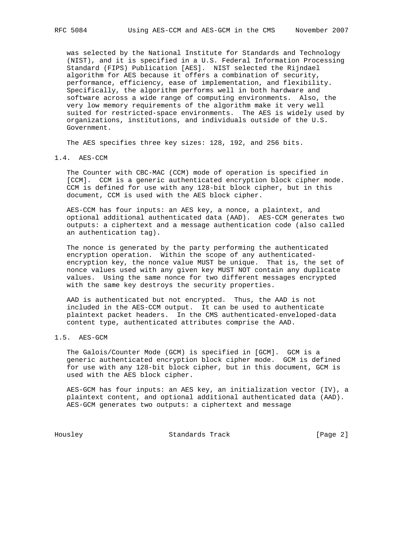was selected by the National Institute for Standards and Technology (NIST), and it is specified in a U.S. Federal Information Processing Standard (FIPS) Publication [AES]. NIST selected the Rijndael algorithm for AES because it offers a combination of security, performance, efficiency, ease of implementation, and flexibility. Specifically, the algorithm performs well in both hardware and software across a wide range of computing environments. Also, the very low memory requirements of the algorithm make it very well suited for restricted-space environments. The AES is widely used by organizations, institutions, and individuals outside of the U.S. Government.

The AES specifies three key sizes: 128, 192, and 256 bits.

### 1.4. AES-CCM

 The Counter with CBC-MAC (CCM) mode of operation is specified in [CCM]. CCM is a generic authenticated encryption block cipher mode. CCM is defined for use with any 128-bit block cipher, but in this document, CCM is used with the AES block cipher.

 AES-CCM has four inputs: an AES key, a nonce, a plaintext, and optional additional authenticated data (AAD). AES-CCM generates two outputs: a ciphertext and a message authentication code (also called an authentication tag).

 The nonce is generated by the party performing the authenticated encryption operation. Within the scope of any authenticated encryption key, the nonce value MUST be unique. That is, the set of nonce values used with any given key MUST NOT contain any duplicate values. Using the same nonce for two different messages encrypted with the same key destroys the security properties.

 AAD is authenticated but not encrypted. Thus, the AAD is not included in the AES-CCM output. It can be used to authenticate plaintext packet headers. In the CMS authenticated-enveloped-data content type, authenticated attributes comprise the AAD.

# 1.5. AES-GCM

 The Galois/Counter Mode (GCM) is specified in [GCM]. GCM is a generic authenticated encryption block cipher mode. GCM is defined for use with any 128-bit block cipher, but in this document, GCM is used with the AES block cipher.

 AES-GCM has four inputs: an AES key, an initialization vector (IV), a plaintext content, and optional additional authenticated data (AAD). AES-GCM generates two outputs: a ciphertext and message

Housley Standards Track [Page 2]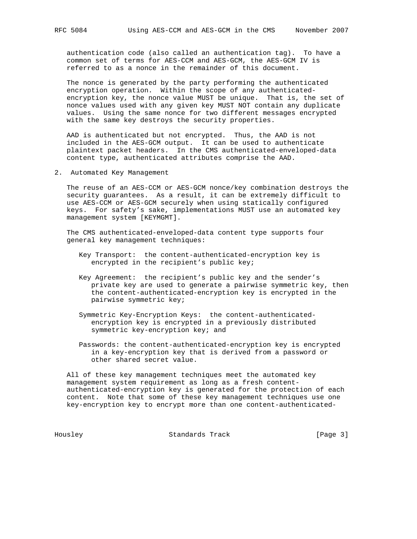authentication code (also called an authentication tag). To have a common set of terms for AES-CCM and AES-GCM, the AES-GCM IV is referred to as a nonce in the remainder of this document.

 The nonce is generated by the party performing the authenticated encryption operation. Within the scope of any authenticated encryption key, the nonce value MUST be unique. That is, the set of nonce values used with any given key MUST NOT contain any duplicate values. Using the same nonce for two different messages encrypted with the same key destroys the security properties.

 AAD is authenticated but not encrypted. Thus, the AAD is not included in the AES-GCM output. It can be used to authenticate plaintext packet headers. In the CMS authenticated-enveloped-data content type, authenticated attributes comprise the AAD.

2. Automated Key Management

 The reuse of an AES-CCM or AES-GCM nonce/key combination destroys the security guarantees. As a result, it can be extremely difficult to use AES-CCM or AES-GCM securely when using statically configured keys. For safety's sake, implementations MUST use an automated key management system [KEYMGMT].

 The CMS authenticated-enveloped-data content type supports four general key management techniques:

- Key Transport: the content-authenticated-encryption key is encrypted in the recipient's public key;
- Key Agreement: the recipient's public key and the sender's private key are used to generate a pairwise symmetric key, then the content-authenticated-encryption key is encrypted in the pairwise symmetric key;
- Symmetric Key-Encryption Keys: the content-authenticated encryption key is encrypted in a previously distributed symmetric key-encryption key; and
- Passwords: the content-authenticated-encryption key is encrypted in a key-encryption key that is derived from a password or other shared secret value.

 All of these key management techniques meet the automated key management system requirement as long as a fresh content authenticated-encryption key is generated for the protection of each content. Note that some of these key management techniques use one key-encryption key to encrypt more than one content-authenticated-

Housley Standards Track [Page 3]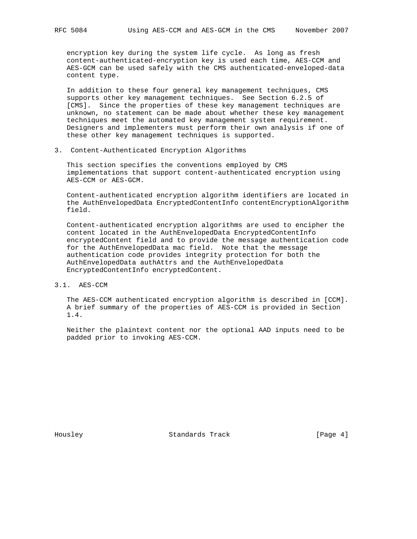encryption key during the system life cycle. As long as fresh content-authenticated-encryption key is used each time, AES-CCM and AES-GCM can be used safely with the CMS authenticated-enveloped-data content type.

 In addition to these four general key management techniques, CMS supports other key management techniques. See Section 6.2.5 of [CMS]. Since the properties of these key management techniques are unknown, no statement can be made about whether these key management techniques meet the automated key management system requirement. Designers and implementers must perform their own analysis if one of these other key management techniques is supported.

3. Content-Authenticated Encryption Algorithms

 This section specifies the conventions employed by CMS implementations that support content-authenticated encryption using AES-CCM or AES-GCM.

 Content-authenticated encryption algorithm identifiers are located in the AuthEnvelopedData EncryptedContentInfo contentEncryptionAlgorithm field.

 Content-authenticated encryption algorithms are used to encipher the content located in the AuthEnvelopedData EncryptedContentInfo encryptedContent field and to provide the message authentication code for the AuthEnvelopedData mac field. Note that the message authentication code provides integrity protection for both the AuthEnvelopedData authAttrs and the AuthEnvelopedData EncryptedContentInfo encryptedContent.

3.1. AES-CCM

 The AES-CCM authenticated encryption algorithm is described in [CCM]. A brief summary of the properties of AES-CCM is provided in Section 1.4.

 Neither the plaintext content nor the optional AAD inputs need to be padded prior to invoking AES-CCM.

Housley Standards Track [Page 4]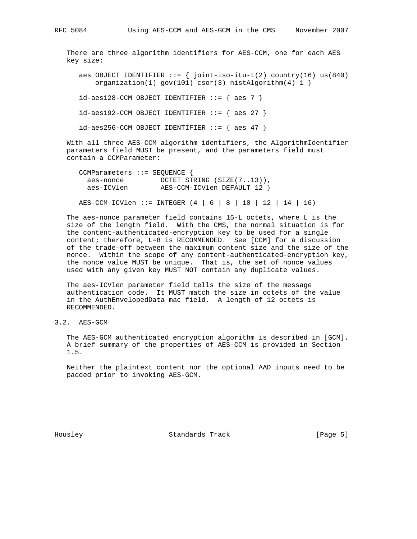There are three algorithm identifiers for AES-CCM, one for each AES key size:

aes OBJECT IDENTIFIER  $::= \{ joint-iso-itu-t(2) country(16) us(840)$ organization(1) gov(101)  $\text{cscr}(3)$  nistAlgorithm(4) 1 }

 $id-aes128$ -CCM OBJECT IDENTIFIER  $::=$  { aes 7 }

 $id-aes192$ -CCM OBJECT IDENTIFIER  $::=$  { aes 27 }

 $id-aes256$ -CCM OBJECT IDENTIFIER  $::=$  { aes 47 }

 With all three AES-CCM algorithm identifiers, the AlgorithmIdentifier parameters field MUST be present, and the parameters field must contain a CCMParameter:

| CCMParameters $::$ SEOUENCE { |                             |  |
|-------------------------------|-----------------------------|--|
| aes-nonce                     | OCTET STRING (SIZE(713)),   |  |
| aes-ICVlen                    | AES-CCM-ICVlen DEFAULT 12 } |  |
|                               |                             |  |

AES-CCM-ICVlen ::= INTEGER (4 | 6 | 8 | 10 | 12 | 14 | 16)

 The aes-nonce parameter field contains 15-L octets, where L is the size of the length field. With the CMS, the normal situation is for the content-authenticated-encryption key to be used for a single content; therefore, L=8 is RECOMMENDED. See [CCM] for a discussion of the trade-off between the maximum content size and the size of the nonce. Within the scope of any content-authenticated-encryption key, the nonce value MUST be unique. That is, the set of nonce values used with any given key MUST NOT contain any duplicate values.

 The aes-ICVlen parameter field tells the size of the message authentication code. It MUST match the size in octets of the value in the AuthEnvelopedData mac field. A length of 12 octets is RECOMMENDED.

3.2. AES-GCM

 The AES-GCM authenticated encryption algorithm is described in [GCM]. A brief summary of the properties of AES-CCM is provided in Section 1.5.

 Neither the plaintext content nor the optional AAD inputs need to be padded prior to invoking AES-GCM.

Housley **Standards Track** [Page 5]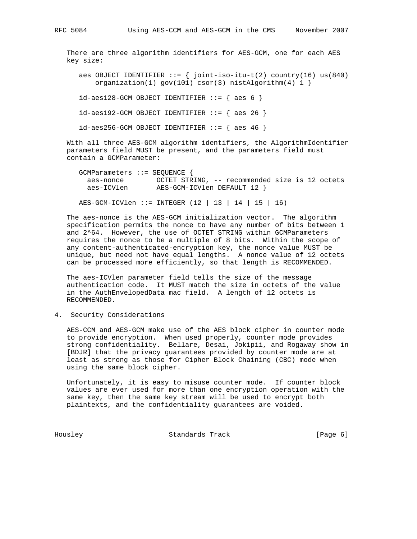There are three algorithm identifiers for AES-GCM, one for each AES

key size:

aes OBJECT IDENTIFIER  $:= \{ joint-iso-itu-t(2) country(16) us(840)$ organization(1) gov(101)  $\text{cscr}(3)$  nistAlgorithm(4) 1 }

 $id-aes128-GCM OBJECT IDENTIFIER ::= { aes 6 }$ 

 $id-aes192-GCM OBJECT IDENTIFIER ::= { aes 26 }$ 

 $id-aes256-GCM OBJECT IDENTIFYER ::= { aes 46 }$ 

 With all three AES-GCM algorithm identifiers, the AlgorithmIdentifier parameters field MUST be present, and the parameters field must contain a GCMParameter:

| $GCMParameters$ ::= SEOUENCE { |                                                |  |  |  |
|--------------------------------|------------------------------------------------|--|--|--|
| aes-nonce                      | OCTET STRING, -- recommended size is 12 octets |  |  |  |
| aes-ICVlen                     | AES-GCM-ICVlen DEFAULT 12 }                    |  |  |  |

AES-GCM-ICVlen ::= INTEGER (12 | 13 | 14 | 15 | 16)

 The aes-nonce is the AES-GCM initialization vector. The algorithm specification permits the nonce to have any number of bits between 1 and 2^64. However, the use of OCTET STRING within GCMParameters requires the nonce to be a multiple of 8 bits. Within the scope of any content-authenticated-encryption key, the nonce value MUST be unique, but need not have equal lengths. A nonce value of 12 octets can be processed more efficiently, so that length is RECOMMENDED.

 The aes-ICVlen parameter field tells the size of the message authentication code. It MUST match the size in octets of the value in the AuthEnvelopedData mac field. A length of 12 octets is RECOMMENDED.

4. Security Considerations

 AES-CCM and AES-GCM make use of the AES block cipher in counter mode to provide encryption. When used properly, counter mode provides strong confidentiality. Bellare, Desai, Jokipii, and Rogaway show in [BDJR] that the privacy guarantees provided by counter mode are at least as strong as those for Cipher Block Chaining (CBC) mode when using the same block cipher.

 Unfortunately, it is easy to misuse counter mode. If counter block values are ever used for more than one encryption operation with the same key, then the same key stream will be used to encrypt both plaintexts, and the confidentiality guarantees are voided.

Housley Standards Track [Page 6]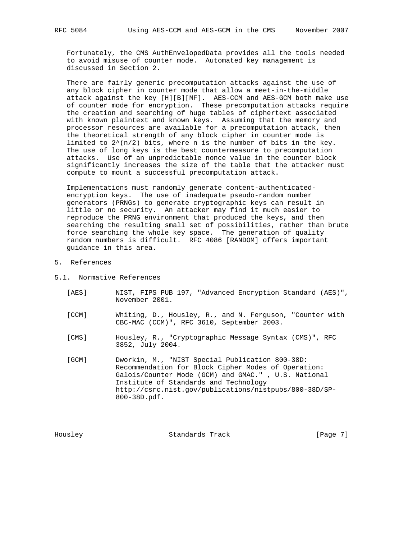Fortunately, the CMS AuthEnvelopedData provides all the tools needed to avoid misuse of counter mode. Automated key management is discussed in Section 2.

 There are fairly generic precomputation attacks against the use of any block cipher in counter mode that allow a meet-in-the-middle attack against the key [H][B][MF]. AES-CCM and AES-GCM both make use of counter mode for encryption. These precomputation attacks require the creation and searching of huge tables of ciphertext associated with known plaintext and known keys. Assuming that the memory and processor resources are available for a precomputation attack, then the theoretical strength of any block cipher in counter mode is limited to  $2^{(n/2)}$  bits, where n is the number of bits in the key. The use of long keys is the best countermeasure to precomputation attacks. Use of an unpredictable nonce value in the counter block significantly increases the size of the table that the attacker must compute to mount a successful precomputation attack.

 Implementations must randomly generate content-authenticated encryption keys. The use of inadequate pseudo-random number generators (PRNGs) to generate cryptographic keys can result in little or no security. An attacker may find it much easier to reproduce the PRNG environment that produced the keys, and then searching the resulting small set of possibilities, rather than brute force searching the whole key space. The generation of quality random numbers is difficult. RFC 4086 [RANDOM] offers important guidance in this area.

- 5. References
- 5.1. Normative References
	- [AES] NIST, FIPS PUB 197, "Advanced Encryption Standard (AES)", November 2001.
	- [CCM] Whiting, D., Housley, R., and N. Ferguson, "Counter with CBC-MAC (CCM)", RFC 3610, September 2003.
	- [CMS] Housley, R., "Cryptographic Message Syntax (CMS)", RFC 3852, July 2004.
	- [GCM] Dworkin, M., "NIST Special Publication 800-38D: Recommendation for Block Cipher Modes of Operation: Galois/Counter Mode (GCM) and GMAC." , U.S. National Institute of Standards and Technology http://csrc.nist.gov/publications/nistpubs/800-38D/SP- 800-38D.pdf.

Housley **Standards Track** [Page 7]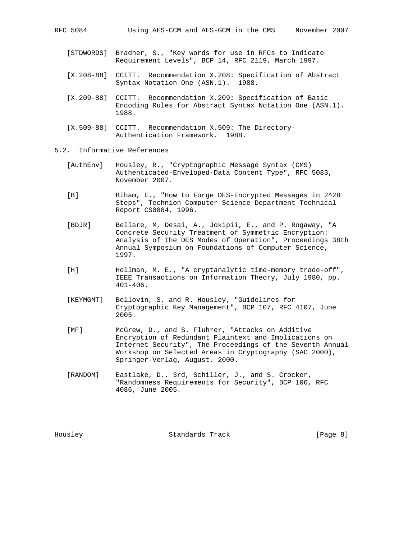- [STDWORDS] Bradner, S., "Key words for use in RFCs to Indicate Requirement Levels", BCP 14, RFC 2119, March 1997.
- [X.208-88] CCITT. Recommendation X.208: Specification of Abstract Syntax Notation One (ASN.1). 1988.
- [X.209-88] CCITT. Recommendation X.209: Specification of Basic Encoding Rules for Abstract Syntax Notation One (ASN.1). 1988.
- [X.509-88] CCITT. Recommendation X.509: The Directory- Authentication Framework. 1988.
- 5.2. Informative References
	- [AuthEnv] Housley, R., "Cryptographic Message Syntax (CMS) Authenticated-Enveloped-Data Content Type", RFC 5083, November 2007.
	- [B] Biham, E., "How to Forge DES-Encrypted Messages in 2^28 Steps", Technion Computer Science Department Technical Report CS0884, 1996.
	- [BDJR] Bellare, M, Desai, A., Jokipii, E., and P. Rogaway, "A Concrete Security Treatment of Symmetric Encryption: Analysis of the DES Modes of Operation", Proceedings 38th Annual Symposium on Foundations of Computer Science, 1997.
	- [H] Hellman, M. E., "A cryptanalytic time-memory trade-off", IEEE Transactions on Information Theory, July 1980, pp. 401-406.
	- [KEYMGMT] Bellovin, S. and R. Housley, "Guidelines for Cryptographic Key Management", BCP 107, RFC 4107, June 2005.
	- [MF] McGrew, D., and S. Fluhrer, "Attacks on Additive Encryption of Redundant Plaintext and Implications on Internet Security", The Proceedings of the Seventh Annual Workshop on Selected Areas in Cryptography (SAC 2000), Springer-Verlag, August, 2000.
	- [RANDOM] Eastlake, D., 3rd, Schiller, J., and S. Crocker, "Randomness Requirements for Security", BCP 106, RFC 4086, June 2005.

Housley Standards Track [Page 8]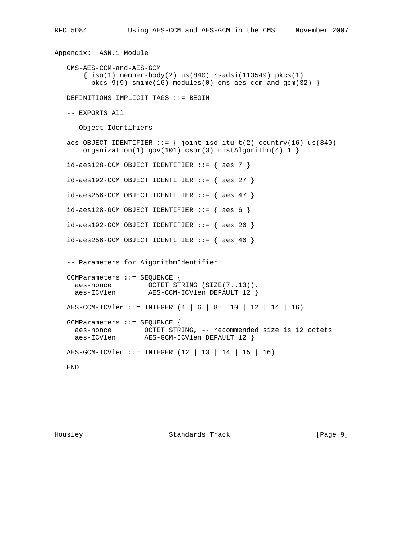```
Appendix: ASN.1 Module
  CMS-AES-CCM-and-AES-GCM
     \{ iso(1) member-body(2) us(840) rsadsi(113549) pkcs(1)
       pkcs-9(9) smime(16) modules(0) cms-aes-ccm-and-gcm(32) }
 DEFINITIONS IMPLICIT TAGS ::= BEGIN
 -- EXPORTS All
 -- Object Identifiers
aes OBJECT IDENTIFIER ::= \{ joint-iso-itu-t(2) country(16) us(840) organization(1) gov(101) csor(3) nistAlgorithm(4) 1 }
 id-aes128-CCM OBJECT IDENTIFIER ::= { aes 7 }
 id-aes192-CCM OBJECT IDENTIFIER ::= { aes 27 }
 id-aes256-CCM OBJECT IDENTIFIER ::= { aes 47 }
id-aes128-GCM OBJECT IDENTIFIER ::= { aes 6 }id-aes192-GCM OBJECT IDENTIFIER ::= { aes 26 }id-aes256-GCM OBJECT IDENTIFIER ::= { aes 46 } -- Parameters for AigorithmIdentifier
 CCMParameters ::= SEQUENCE {
   aes-nonce OCTET STRING (SIZE(7..13)),
   aes-ICVlen AES-CCM-ICVlen DEFAULT 12 }
 AES-CCM-ICVlen ::= INTEGER (4 | 6 | 8 | 10 | 12 | 14 | 16)
 GCMParameters ::= SEQUENCE {
   aes-nonce OCTET STRING, -- recommended size is 12 octets
   aes-ICVlen AES-GCM-ICVlen DEFAULT 12 }
 AES-GCM-ICVlen ::= INTEGER (12 | 13 | 14 | 15 | 16)
 END
```
Housley Standards Track [Page 9]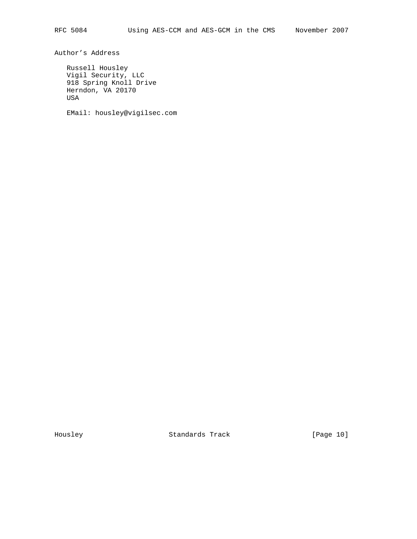Author's Address

 Russell Housley Vigil Security, LLC 918 Spring Knoll Drive Herndon, VA 20170 USA

EMail: housley@vigilsec.com

Housley Standards Track [Page 10]